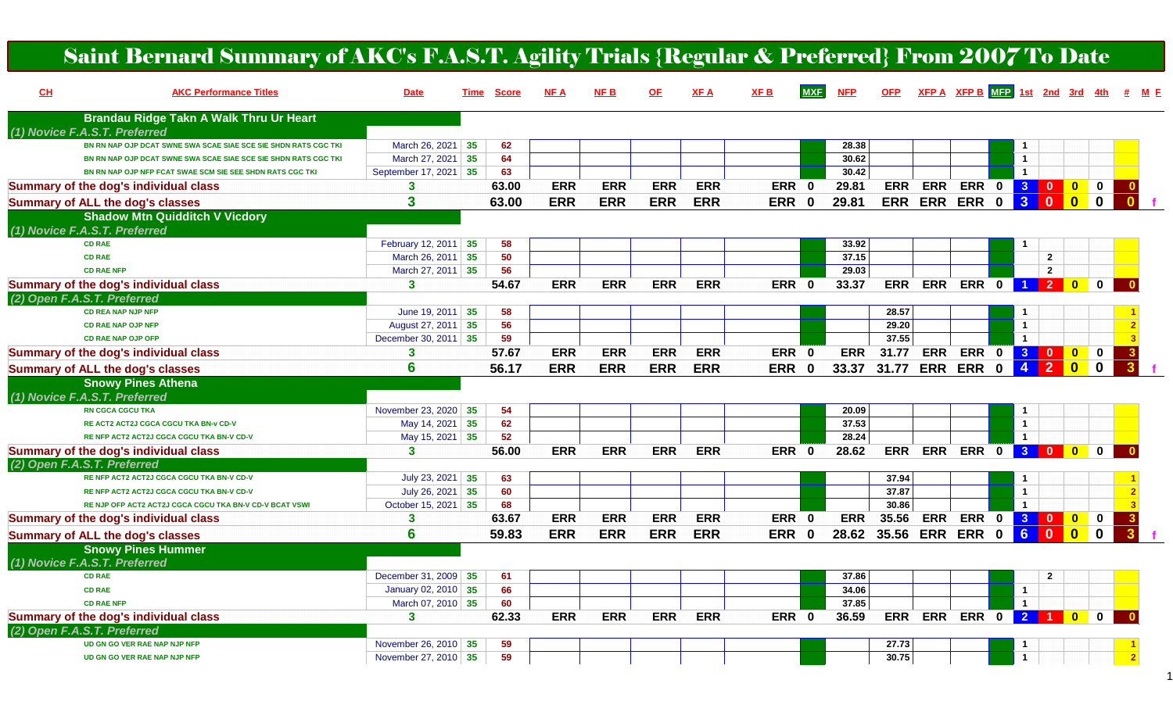| Saint Bernard Summary of AKC's F.A.S.T. Agility Trials {Regular & Preferred} From 2007 To Date |                       |                      |            |            |            |             |             |            |            |            |                       |                                 |                         |                              |                         |                               |                |       |
|------------------------------------------------------------------------------------------------|-----------------------|----------------------|------------|------------|------------|-------------|-------------|------------|------------|------------|-----------------------|---------------------------------|-------------------------|------------------------------|-------------------------|-------------------------------|----------------|-------|
| CL<br><b>AKC Performance Titles</b>                                                            | <b>Date</b>           | <u>Score</u><br>Time | NF A       | NFB        | <u>OF</u>  | <u>XF A</u> | <u>XF B</u> | <b>MXF</b> | <b>NFP</b> | <b>OFP</b> |                       | XFP A XFP B MFP 1st 2nd 3rd 4th |                         |                              |                         |                               |                | # M E |
| Brandau Ridge Takn A Walk Thru Ur Heart<br>(1) Novice F.A.S.T. Preferred                       |                       |                      |            |            |            |             |             |            |            |            |                       |                                 |                         |                              |                         |                               |                |       |
| BN RN NAP OJP DCAT SWNE SWA SCAE SIAE SCE SIE SHDN RATS CGC TKI                                | March 26, 2021 35     | 62                   |            |            |            |             |             |            | 28.38      |            |                       |                                 |                         |                              |                         |                               |                |       |
| BN RN NAP OJP DCAT SWNE SWA SCAE SIAE SCE SIE SHDN RATS CGC TKI                                | March 27, 2021 35     | 64                   |            |            |            |             |             |            | 30.62      |            |                       |                                 |                         | $\mathbf{1}$                 |                         |                               |                |       |
| BN RN NAP OJP NFP FCAT SWAE SCM SIE SEE SHDN RATS CGC TKI                                      | September 17, 2021 35 | 63                   |            |            |            |             |             |            | 30.42      |            |                       |                                 |                         | $\blacktriangleleft$         |                         |                               |                |       |
| <b>Summary of the dog's individual class</b>                                                   | 3                     | 63.00                | <b>ERR</b> | <b>ERR</b> | <b>ERR</b> | <b>ERR</b>  | ERR 0       |            | 29.81      | <b>ERR</b> | <b>ERR</b>            | ERR 0 3                         |                         |                              | $\overline{\mathbf{0}}$ | $\mathbf{0}$<br>$\mathbf 0$   |                |       |
| <b>Summary of ALL the dog's classes</b>                                                        | 3                     | 63.00                | <b>ERR</b> | <b>ERR</b> | <b>ERR</b> | <b>ERR</b>  | ERR 0       |            | 29.81      | <b>ERR</b> |                       | <b>ERR ERR</b>                  | $\mathbf{0}$            | 3                            | $\mathbf{0}$            | $\blacksquare$<br>$\mathbf 0$ |                |       |
| <b>Shadow Mtn Quidditch V Vicdory</b>                                                          |                       |                      |            |            |            |             |             |            |            |            |                       |                                 |                         |                              |                         |                               |                |       |
| (1) Novice F.A.S.T. Preferred                                                                  |                       |                      |            |            |            |             |             |            |            |            |                       |                                 |                         |                              |                         |                               |                |       |
| <b>CD RAE</b>                                                                                  | February 12, 2011 35  | 58                   |            |            |            |             |             |            | 33.92      |            |                       |                                 |                         |                              |                         |                               |                |       |
| <b>CD RAE</b>                                                                                  | March 26, 2011 35     | 50                   |            |            |            |             |             |            | 37.15      |            |                       |                                 |                         |                              | $\mathbf{2}$            |                               |                |       |
| <b>CD RAE NFP</b>                                                                              | March 27, 2011 35     | 56                   |            |            |            |             |             |            | 29.03      |            |                       |                                 |                         |                              | $\overline{2}$          |                               |                |       |
| <b>Summary of the dog's individual class</b>                                                   | 3                     | 54.67                | <b>ERR</b> | <b>ERR</b> | <b>ERR</b> | <b>ERR</b>  | <b>ERR</b>  | 0          | 33.37      | <b>ERR</b> | <b>ERR</b>            | ERR 0 1 2 0                     |                         |                              |                         | $\mathbf 0$                   |                |       |
| (2) Open F.A.S.T. Preferred                                                                    |                       |                      |            |            |            |             |             |            |            |            |                       |                                 |                         |                              |                         |                               |                |       |
| <b>CD REA NAP NJP NFP</b>                                                                      | June 19, 2011 $35$    | 58                   |            |            |            |             |             |            |            | 28.57      |                       |                                 |                         | -1                           |                         |                               |                |       |
| <b>CD RAE NAP OJP NFP</b>                                                                      | August 27, 2011 35    | 56                   |            |            |            |             |             |            |            | 29.20      |                       |                                 |                         | $\overline{1}$               |                         |                               |                |       |
| <b>CD RAE NAP OJP OFP</b>                                                                      | December 30, 2011 35  | 59                   |            |            |            |             |             |            |            | 37.55      |                       |                                 |                         | $\mathbf{1}$                 |                         |                               |                |       |
| <b>Summary of the dog's individual class</b>                                                   |                       | 57.67                | <b>ERR</b> | <b>ERR</b> | <b>ERR</b> | <b>ERR</b>  | ERR 0       |            | <b>ERR</b> | 31.77      | <b>ERR</b>            | ERR 0 3 0                       |                         |                              |                         | $\bullet$<br>$\mathbf 0$      |                |       |
| <b>Summary of ALL the dog's classes</b>                                                        | 6                     | 56.17                | <b>ERR</b> | <b>ERR</b> | <b>ERR</b> | <b>ERR</b>  | ERR 0       |            | 33.37      | 31.77      |                       | <b>ERR ERR</b>                  | $\mathbf{0}$            | $\overline{4}$               | $\overline{2}$          | $\mathbf{0}$<br>$\mathbf 0$   |                |       |
| <b>Snowy Pines Athena</b>                                                                      |                       |                      |            |            |            |             |             |            |            |            |                       |                                 |                         |                              |                         |                               |                |       |
| (1) Novice F.A.S.T. Preferred                                                                  |                       |                      |            |            |            |             |             |            |            |            |                       |                                 |                         |                              |                         |                               |                |       |
| <b>RN CGCA CGCU TKA</b>                                                                        | November 23, 2020 35  | 54                   |            |            |            |             |             |            | 20.09      |            |                       |                                 |                         | -1                           |                         |                               |                |       |
| RE ACT2 ACT2J CGCA CGCU TKA BN-v CD-V                                                          | May 14, 2021 35       | 62                   |            |            |            |             |             |            | 37.53      |            |                       |                                 |                         | $\overline{1}$               |                         |                               |                |       |
| RE NFP ACT2 ACT2J CGCA CGCU TKA BN-V CD-V                                                      | May 15, 2021 35       | 52                   |            |            |            |             |             |            | 28.24      |            |                       |                                 |                         | $\overline{1}$               |                         |                               |                |       |
| <b>Summary of the dog's individual class</b>                                                   | 3                     | 56.00                | <b>ERR</b> | <b>ERR</b> | <b>ERR</b> | <b>ERR</b>  | ERR 0       |            | 28.62      | <b>ERR</b> | <b>ERR</b>            | ERR 0 3 0 0 0                   |                         |                              |                         |                               |                |       |
| (2) Open F.A.S.T. Preferred<br>RE NFP ACT2 ACT2J CGCA CGCU TKA BN-V CD-V                       | July 23, 2021 35      | 63                   |            |            |            |             |             |            |            | 37.94      |                       |                                 |                         |                              |                         |                               |                |       |
| RE NFP ACT2 ACT2J CGCA CGCU TKA BN-V CD-V                                                      | July 26, 2021 35      | 60                   |            |            |            |             |             |            |            | 37.87      |                       |                                 |                         | $\mathbf{1}$<br>$\mathbf{1}$ |                         |                               |                |       |
| RE NJP OFP ACT2 ACT2J CGCA CGCU TKA BN-V CD-V BCAT VSWI                                        | October 15, 2021 35   | 68                   |            |            |            |             |             |            |            | 30.86      |                       |                                 |                         | $\overline{1}$               |                         |                               |                |       |
| <b>Summary of the dog's individual class</b>                                                   | 3                     | 63.67                | <b>ERR</b> | <b>ERR</b> | <b>ERR</b> | <b>ERR</b>  | ERR 0       |            | <b>ERR</b> | 35.56      | <b>ERR</b>            | <b>ERR</b>                      | $\overline{\mathbf{0}}$ | 3                            | $\overline{\mathbf{0}}$ | $\bullet$<br>$\mathbf 0$      |                |       |
| <b>Summary of ALL the dog's classes</b>                                                        | 6                     | 59.83                | <b>ERR</b> | <b>ERR</b> | <b>ERR</b> | <b>ERR</b>  | ERR 0       |            | 28.62      | 35.56      |                       | <b>ERR ERR</b>                  | $\mathbf 0$             | 6 <sup>1</sup>               | $\mathbf{0}$            | $\blacksquare$<br>$\mathbf 0$ | $\overline{3}$ |       |
| <b>Snowy Pines Hummer</b>                                                                      |                       |                      |            |            |            |             |             |            |            |            |                       |                                 |                         |                              |                         |                               |                |       |
| (1) Novice F.A.S.T. Preferred                                                                  |                       |                      |            |            |            |             |             |            |            |            |                       |                                 |                         |                              |                         |                               |                |       |
| <b>CD RAE</b>                                                                                  | December 31, 2009 35  | 61                   |            |            |            |             |             |            | 37.86      |            |                       |                                 |                         |                              | $\mathbf{2}$            |                               |                |       |
| <b>CD RAE</b>                                                                                  | January 02, 2010 35   | 66                   |            |            |            |             |             |            | 34.06      |            |                       |                                 |                         | $\mathbf{1}$                 |                         |                               |                |       |
| <b>CD RAE NFP</b>                                                                              | March 07, 2010 35     | 60                   |            |            |            |             |             |            | 37.85      |            |                       |                                 |                         | $\overline{1}$               |                         |                               |                |       |
| <b>Summary of the dog's individual class</b>                                                   | $\mathbf{3}$          | 62.33                | <b>ERR</b> | <b>ERR</b> | <b>ERR</b> | <b>ERR</b>  | ERR 0       |            | 36.59      |            | ERR ERR ERR 0 2 1 0 0 |                                 |                         |                              |                         |                               |                |       |
| (2) Open F.A.S.T. Preferred                                                                    |                       |                      |            |            |            |             |             |            |            |            |                       |                                 |                         |                              |                         |                               |                |       |
| UD GN GO VER RAE NAP NJP NFP                                                                   | November 26, 2010 35  | 59                   |            |            |            |             |             |            |            | 27.73      |                       |                                 |                         |                              |                         |                               |                |       |
| UD GN GO VER RAE NAP NJP NFP                                                                   | November 27, 2010 35  | 59                   |            |            |            |             |             |            |            | 30.75      |                       |                                 |                         |                              |                         |                               |                |       |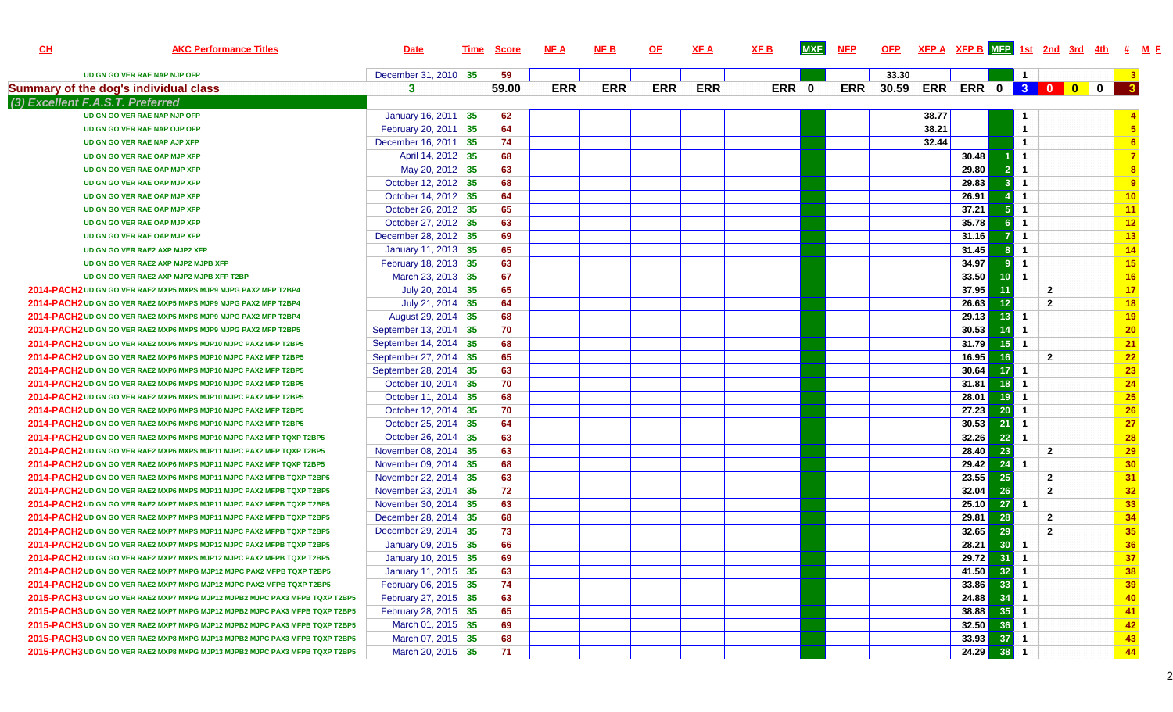| C <sub>H</sub> | <b>AKC Performance Titles</b>                                                | <b>Date</b>           | Time | <u>Score</u> | NF A       | <b>NFB</b> | <u>OF</u>  | <b>XFA</b> | XF <sub>B</sub> | <b>MXF</b> | <b>NFP</b> | <b>OFP</b> |       | $XFP A$ XFP B MEP 1st 2nd 3rd 4th # M E |                 |                      |                |             |                  |  |
|----------------|------------------------------------------------------------------------------|-----------------------|------|--------------|------------|------------|------------|------------|-----------------|------------|------------|------------|-------|-----------------------------------------|-----------------|----------------------|----------------|-------------|------------------|--|
|                | UD GN GO VER RAE NAP NJP OFP                                                 | December 31, 2010 35  |      | 59           |            |            |            |            |                 |            |            | 33.30      |       |                                         |                 | $\mathbf{1}$         |                |             |                  |  |
|                | <b>Summary of the dog's individual class</b>                                 | 3                     |      | 59.00        | <b>ERR</b> | <b>ERR</b> | <b>ERR</b> | <b>ERR</b> |                 | ERR 0      | <b>ERR</b> | 30.59      |       | ERR ERR 0 3 0 0                         |                 |                      |                | $\mathbf 0$ | $\mathbf{3}$     |  |
|                | (3) Excellent F.A.S.T. Preferred                                             |                       |      |              |            |            |            |            |                 |            |            |            |       |                                         |                 |                      |                |             |                  |  |
|                | UD GN GO VER RAE NAP NJP OFP                                                 | January 16, 2011 35   |      | 62           |            |            |            |            |                 |            |            |            | 38.77 |                                         |                 | $\mathbf{1}$         |                |             |                  |  |
|                | UD GN GO VER RAE NAP OJP OFP                                                 | February 20, 2011 35  |      | 64           |            |            |            |            |                 |            |            |            | 38.21 |                                         |                 | $\mathbf{1}$         |                |             | $5\phantom{.0}$  |  |
|                | UD GN GO VER RAE NAP AJP XFP                                                 | December 16, 2011 35  |      | 74           |            |            |            |            |                 |            |            |            | 32.44 |                                         |                 | $\overline{1}$       |                |             | 6                |  |
|                | UD GN GO VER RAE OAP MJP XFP                                                 | April 14, 2012 35     |      | 68           |            |            |            |            |                 |            |            |            |       | 30.48                                   |                 | $\overline{1}$       |                |             | $\overline{7}$   |  |
|                | UD GN GO VER RAE OAP MJP XFP                                                 | May 20, 2012 35       |      | 63           |            |            |            |            |                 |            |            |            |       | 29.80                                   |                 | $\overline{1}$       |                |             | $\boldsymbol{8}$ |  |
|                | UD GN GO VER RAE OAP MJP XFP                                                 | October 12, 2012 35   |      | 68           |            |            |            |            |                 |            |            |            |       | 29.83                                   |                 | $\overline{1}$       |                |             | 9                |  |
|                | UD GN GO VER RAE OAP MJP XFP                                                 | October 14, 2012 35   |      | 64           |            |            |            |            |                 |            |            |            |       | 26.91                                   |                 | $\blacktriangleleft$ |                |             | 10               |  |
|                | UD GN GO VER RAE OAP MJP XFP                                                 | October 26, 2012 35   |      | 65           |            |            |            |            |                 |            |            |            |       | 37.21                                   |                 | $\overline{1}$       |                |             | 11               |  |
|                | UD GN GO VER RAE OAP MJP XFP                                                 | October 27, 2012 35   |      | 63           |            |            |            |            |                 |            |            |            |       | 35.78                                   |                 | $\overline{1}$       |                |             | 12               |  |
|                | UD GN GO VER RAE OAP MJP XFP                                                 | December 28, 2012 35  |      | 69           |            |            |            |            |                 |            |            |            |       | 31.16                                   |                 | $\mathbf{1}$         |                |             | 13               |  |
|                | UD GN GO VER RAE2 AXP MJP2 XFP                                               | January 11, 2013 35   |      | 65           |            |            |            |            |                 |            |            |            |       | 31.45                                   |                 | $\blacktriangleleft$ |                |             | 14               |  |
|                | UD GN GO VER RAE2 AXP MJP2 MJPB XFP                                          | February 18, 2013 35  |      | 63           |            |            |            |            |                 |            |            |            |       | 34.97                                   |                 | $\overline{1}$       |                |             | 15               |  |
|                | UD GN GO VER RAE2 AXP MJP2 MJPB XFP T2BP                                     | March 23, 2013 35     |      | 67           |            |            |            |            |                 |            |            |            |       | 33.50                                   | 10              | $\overline{1}$       |                |             | 16               |  |
|                | 2014-PACH2 UD GN GO VER RAE2 MXP5 MXPS MJP9 MJPG PAX2 MFP T2BP4              | July 20, 2014 35      |      | 65           |            |            |            |            |                 |            |            |            |       | 37.95                                   | 11              |                      | $\overline{2}$ |             | 17               |  |
|                | 2014-PACH2 UD GN GO VER RAE2 MXP5 MXPS MJP9 MJPG PAX2 MFP T2BP4              | July 21, 2014 35      |      | 64           |            |            |            |            |                 |            |            |            |       | 26.63                                   | 12              |                      | $\overline{2}$ |             | 18               |  |
|                | 2014-PACH2 UD GN GO VER RAE2 MXP5 MXPS MJP9 MJPG PAX2 MFP T2BP4              | August 29, 2014 35    |      | 68           |            |            |            |            |                 |            |            |            |       | 29.13                                   | 13              | $\mathbf{1}$         |                |             | 19               |  |
|                | 2014-PACH2 UD GN GO VER RAE2 MXP6 MXPS MJP9 MJPG PAX2 MFP T2BP5              | September 13, 2014 35 |      | 70           |            |            |            |            |                 |            |            |            |       | 30.53                                   | 14              | $\overline{1}$       |                |             | 20               |  |
|                | 2014-PACH2 UD GN GO VER RAE2 MXP6 MXPS MJP10 MJPC PAX2 MFP T2BP5             | September 14, 2014 35 |      | 68           |            |            |            |            |                 |            |            |            |       | 31.79                                   | 15 <sup>1</sup> | $\overline{1}$       |                |             | 21               |  |
|                | 2014-PACH2 UD GN GO VER RAE2 MXP6 MXPS MJP10 MJPC PAX2 MFP T2BP5             | September 27, 2014 35 |      | 65           |            |            |            |            |                 |            |            |            |       | 16.95                                   | 16              |                      | $\overline{2}$ |             | 22               |  |
|                | 2014-PACH2 UD GN GO VER RAE2 MXP6 MXPS MJP10 MJPC PAX2 MFP T2BP5             | September 28, 2014 35 |      | 63           |            |            |            |            |                 |            |            |            |       | 30.64                                   | 17              | $\mathbf{1}$         |                |             | 23               |  |
|                | 2014-PACH2 UD GN GO VER RAE2 MXP6 MXPS MJP10 MJPC PAX2 MFP T2BP5             | October 10, 2014 35   |      | 70           |            |            |            |            |                 |            |            |            |       | 31.81                                   | 18              | $\overline{1}$       |                |             | 24               |  |
|                | 2014-PACH2 UD GN GO VER RAE2 MXP6 MXPS MJP10 MJPC PAX2 MFP T2BP5             | October 11, 2014   35 |      | 68           |            |            |            |            |                 |            |            |            |       | 28.01                                   | 19              | $\blacktriangleleft$ |                |             | 25               |  |
|                | 2014-PACH2 UD GN GO VER RAE2 MXP6 MXPS MJP10 MJPC PAX2 MFP T2BP5             | October 12, 2014 35   |      | 70           |            |            |            |            |                 |            |            |            |       | 27.23                                   | 20              | $\overline{1}$       |                |             | $\overline{26}$  |  |
|                | 2014-PACH2 UD GN GO VER RAE2 MXP6 MXPS MJP10 MJPC PAX2 MFP T2BP5             | October 25, 2014 35   |      | 64           |            |            |            |            |                 |            |            |            |       | 30.53                                   | 21              | $\overline{1}$       |                |             | $\overline{27}$  |  |
|                | 2014-PACH2 UD GN GO VER RAE2 MXP6 MXPS MJP10 MJPC PAX2 MFP TQXP T2BP5        | October 26, 2014 35   |      | 63           |            |            |            |            |                 |            |            |            |       | 32.26                                   | 22              | $\overline{1}$       |                |             | 28               |  |
|                | 2014-PACH2 UD GN GO VER RAE2 MXP6 MXPS MJP11 MJPC PAX2 MFP TQXP T2BP5        | November 08, 2014 35  |      | 63           |            |            |            |            |                 |            |            |            |       | 28.40                                   | 23              |                      | $\overline{2}$ |             | 29               |  |
|                | 2014-PACH2 UD GN GO VER RAE2 MXP6 MXPS MJP11 MJPC PAX2 MFP TQXP T2BP5        | November 09, 2014 35  |      | 68           |            |            |            |            |                 |            |            |            |       | 29.42                                   | 24              | $\mathbf{1}$         |                |             | 30               |  |
|                | 2014-PACH2 UD GN GO VER RAE2 MXP6 MXPS MJP11 MJPC PAX2 MFPB TQXP T2BP5       | November 22, 2014 35  |      | 63           |            |            |            |            |                 |            |            |            |       | 23.55                                   | 25              |                      | $\overline{2}$ |             | 31               |  |
|                | 2014-PACH2 UD GN GO VER RAE2 MXP6 MXPS MJP11 MJPC PAX2 MFPB TQXP T2BP5       | November 23, 2014 35  |      | 72           |            |            |            |            |                 |            |            |            |       | 32.04                                   | 26              |                      | $\overline{2}$ |             | 32               |  |
|                | 2014-PACH2 UD GN GO VER RAE2 MXP7 MXPS MJP11 MJPC PAX2 MFPB TQXP T2BP5       | November 30, 2014 35  |      | 63           |            |            |            |            |                 |            |            |            |       | 25.10                                   | 27              | $\overline{1}$       |                |             | 33               |  |
|                | 2014-PACH2 UD GN GO VER RAE2 MXP7 MXPS MJP11 MJPC PAX2 MFPB TQXP T2BP5       | December 28, 2014 35  |      | 68           |            |            |            |            |                 |            |            |            |       | 29.81                                   | 28              |                      | $\overline{2}$ |             | 34               |  |
|                | 2014-PACH2 UD GN GO VER RAE2 MXP7 MXPS MJP11 MJPC PAX2 MFPB TQXP T2BP5       | December 29, 2014 35  |      | 73           |            |            |            |            |                 |            |            |            |       | 32.65                                   | 29              |                      | $\overline{2}$ |             | 35               |  |
|                | 2014-PACH2 UD GN GO VER RAE2 MXP7 MXPS MJP12 MJPC PAX2 MFPB TQXP T2BP5       | January 09, 2015 35   |      | 66           |            |            |            |            |                 |            |            |            |       | 28.21                                   | 30              | -1                   |                |             | 36               |  |
|                | 2014-PACH2 UD GN GO VER RAE2 MXP7 MXPS MJP12 MJPC PAX2 MFPB TQXP T2BP5       | January 10, 2015 35   |      | 69           |            |            |            |            |                 |            |            |            |       | 29.72                                   | 31              |                      |                |             | 37               |  |
|                | 2014-PACH2 UD GN GO VER RAE2 MXP7 MXPG MJP12 MJPC PAX2 MFPB TQXP T2BP5       | January 11, 2015 35   |      | 63           |            |            |            |            |                 |            |            |            |       | 41.50                                   | $32$ 1          |                      |                |             | 38               |  |
|                | 2014-PACH2 UD GN GO VER RAE2 MXP7 MXPG MJP12 MJPC PAX2 MFPB TQXP T2BP5       | February 06, 2015 35  |      | 74           |            |            |            |            |                 |            |            |            |       | 33.86                                   | $33$ 1          |                      |                |             | 39               |  |
|                | 2015-PACH3 UD GN GO VER RAE2 MXP7 MXPG MJP12 MJPB2 MJPC PAX3 MFPB TQXP T2BP5 | February 27, 2015 35  |      | 63           |            |            |            |            |                 |            |            |            |       | 24.88                                   | $34$ 1          |                      |                |             | 40               |  |
|                | 2015-PACH3 UD GN GO VER RAE2 MXP7 MXPG MJP12 MJPB2 MJPC PAX3 MFPB TQXP T2BP5 | February 28, 2015 35  |      | 65           |            |            |            |            |                 |            |            |            |       | 38.88                                   | $35$ 1          |                      |                |             | 41               |  |
|                | 2015-PACH3 UD GN GO VER RAE2 MXP7 MXPG MJP12 MJPB2 MJPC PAX3 MFPB TQXP T2BP5 | March 01, 2015 35     |      | 69           |            |            |            |            |                 |            |            |            |       | 32.50                                   | $36$ 1          |                      |                |             | 42               |  |
|                | 2015-PACH3 UD GN GO VER RAE2 MXP8 MXPG MJP13 MJPB2 MJPC PAX3 MFPB TQXP T2BP5 | March 07, 2015 35     |      | 68           |            |            |            |            |                 |            |            |            |       | 33.93                                   | $37$ 1          |                      |                |             | 43               |  |
|                | 2015-PACH3 UD GN GO VER RAE2 MXP8 MXPG MJP13 MJPB2 MJPC PAX3 MFPB TQXP T2BP5 | March 20, 2015 35     |      | 71           |            |            |            |            |                 |            |            |            |       | $24.29$                                 | $38$ 1          |                      |                |             | 44               |  |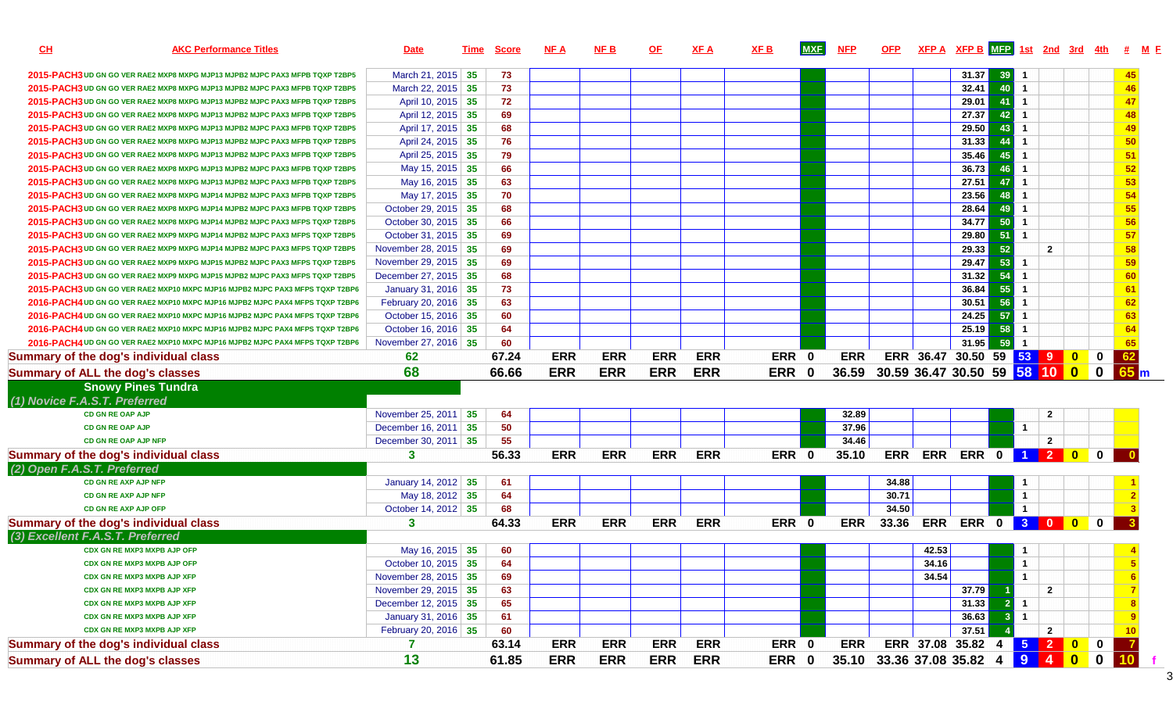| <b>AKC Performance Titles</b><br><u>CH</u>                                    | <b>Date</b>           | Time | <b>Score</b> | <b>NFA</b> | <b>NFB</b> | <b>OF</b>  | XF A       | <u>XF B</u> | <b>MXF</b>  | <b>NFP</b> | <b>OFP</b> |                                | $XFP A$ $XFP B$ $MFP$ 1st 2nd 3rd 4th # M F |    |                      |                |                |  |
|-------------------------------------------------------------------------------|-----------------------|------|--------------|------------|------------|------------|------------|-------------|-------------|------------|------------|--------------------------------|---------------------------------------------|----|----------------------|----------------|----------------|--|
| 2015-PACH3 UD GN GO VER RAE2 MXP8 MXPG MJP13 MJPB2 MJPC PAX3 MFPB TQXP T2BP5  | March 21, 2015 35     |      | 73           |            |            |            |            |             |             |            |            |                                | 31.37                                       | 39 |                      |                | 45             |  |
| 2015-PACH3 UD GN GO VER RAE2 MXP8 MXPG MJP13 MJPB2 MJPC PAX3 MFPB TQXP T2BP5  | March 22, 2015 35     |      | 73           |            |            |            |            |             |             |            |            |                                | 32.41                                       | 40 | $\mathbf{1}$         |                | 46             |  |
| 2015-PACH3 UD GN GO VER RAE2 MXP8 MXPG MJP13 MJPB2 MJPC PAX3 MFPB TQXP T2BP5  | April 10, 2015 35     |      | 72           |            |            |            |            |             |             |            |            |                                | 29.01                                       | 41 | $\mathbf{1}$         |                | 47             |  |
| 2015-PACH3 UD GN GO VER RAE2 MXP8 MXPG MJP13 MJPB2 MJPC PAX3 MFPB TQXP T2BP5  | April 12, 2015 35     |      | 69           |            |            |            |            |             |             |            |            |                                | 27.37                                       | 42 | $\mathbf{1}$         |                | 48             |  |
| 2015-PACH3 UD GN GO VER RAE2 MXP8 MXPG MJP13 MJPB2 MJPC PAX3 MFPB TQXP T2BP5  | April 17, 2015 35     |      | 68           |            |            |            |            |             |             |            |            |                                | 29.50                                       | 43 | $\mathbf{1}$         |                | 49             |  |
| 2015-PACH3 UD GN GO VER RAE2 MXP8 MXPG MJP13 MJPB2 MJPC PAX3 MFPB TQXP T2BP5  | April 24, 2015 35     |      | 76           |            |            |            |            |             |             |            |            |                                | 31.33                                       | 44 | $\overline{1}$       |                | 50             |  |
| 2015-PACH3 UD GN GO VER RAE2 MXP8 MXPG MJP13 MJPB2 MJPC PAX3 MFPB TQXP T2BP5  | April 25, 2015 35     |      | 79           |            |            |            |            |             |             |            |            |                                | 35.46                                       | 45 | $\mathbf{1}$         |                | 51             |  |
| 2015-PACH3 UD GN GO VER RAE2 MXP8 MXPG MJP13 MJPB2 MJPC PAX3 MFPB TQXP T2BP5  | May 15, 2015 35       |      | 66           |            |            |            |            |             |             |            |            |                                | 36.73                                       |    | $\blacktriangleleft$ |                | 52             |  |
| 2015-PACH3 UD GN GO VER RAE2 MXP8 MXPG MJP13 MJPB2 MJPC PAX3 MFPB TQXP T2BP5  | May 16, 2015 35       |      | 63           |            |            |            |            |             |             |            |            |                                | 27.51                                       | 47 | $\overline{1}$       |                | 53             |  |
| 2015-PACH3 UD GN GO VER RAE2 MXP8 MXPG MJP14 MJPB2 MJPC PAX3 MFPB TQXP T2BP5  | May 17, 2015 35       |      | 70           |            |            |            |            |             |             |            |            |                                | 23.56                                       | 48 | $\mathbf{1}$         |                | 54             |  |
| 2015-PACH3 UD GN GO VER RAE2 MXP8 MXPG MJP14 MJPB2 MJPC PAX3 MFPB TQXP T2BP5  | October 29, 2015 35   |      | 68           |            |            |            |            |             |             |            |            |                                | 28.64                                       |    | $\mathbf{1}$         |                | 55             |  |
| 2015-PACH3 UD GN GO VER RAE2 MXP8 MXPG MJP14 MJPB2 MJPC PAX3 MFPS TQXP T2BP5  | October 30, 2015 35   |      | 66           |            |            |            |            |             |             |            |            |                                | $34.77$                                     | 50 | $\mathbf{1}$         |                | 56             |  |
| 2015-PACH3 UD GN GO VER RAE2 MXP9 MXPG MJP14 MJPB2 MJPC PAX3 MFPS TQXP T2BP5  | October 31, 2015 35   |      | 69           |            |            |            |            |             |             |            |            |                                | 29.80                                       | 51 | $\blacktriangleleft$ |                | 57             |  |
| 2015-PACH3 UD GN GO VER RAE2 MXP9 MXPG MJP14 MJPB2 MJPC PAX3 MFPS TQXP T2BP5  | November 28, 2015 35  |      | 69           |            |            |            |            |             |             |            |            |                                | 29.33                                       | 52 |                      | $\overline{2}$ | 58             |  |
| 2015-PACH3 UD GN GO VER RAE2 MXP9 MXPG MJP15 MJPB2 MJPC PAX3 MFPS TQXP T2BP5  | November 29, 2015 35  |      | 69           |            |            |            |            |             |             |            |            |                                | 29.47                                       | 53 | $\overline{1}$       |                | 59             |  |
| 2015-PACH3 UD GN GO VER RAE2 MXP9 MXPG MJP15 MJPB2 MJPC PAX3 MFPS TQXP T2BP5  | December 27, 2015 35  |      | 68           |            |            |            |            |             |             |            |            |                                | $31.32$                                     | 54 | $\mathbf{1}$         |                | 60             |  |
| 2015-PACH3 UD GN GO VER RAE2 MXP10 MXPC MJP16 MJPB2 MJPC PAX3 MFPS TQXP T2BP6 | January 31, 2016 35   |      | 73           |            |            |            |            |             |             |            |            |                                | 36.84                                       | 55 | $\mathbf{1}$         |                | 61             |  |
| 2016-PACH4 UD GN GO VER RAE2 MXP10 MXPC MJP16 MJPB2 MJPC PAX4 MFPS TQXP T2BP6 | February 20, 2016 35  |      | 63           |            |            |            |            |             |             |            |            |                                | 30.51                                       | 56 | $\overline{1}$       |                | 62             |  |
| 2016-PACH4 UD GN GO VER RAE2 MXP10 MXPC MJP16 MJPB2 MJPC PAX4 MFPS TQXP T2BP6 | October 15, 2016 35   |      | 60           |            |            |            |            |             |             |            |            |                                | 24.25                                       | 57 | $\overline{1}$       |                | 63             |  |
| 2016-PACH4 UD GN GO VER RAE2 MXP10 MXPC MJP16 MJPB2 MJPC PAX4 MFPS TQXP T2BP6 | October 16, 2016 35   |      | 64           |            |            |            |            |             |             |            |            |                                | 25.19                                       | 58 | $\mathbf{1}$         |                | 64             |  |
| 2016-PACH4 UD GN GO VER RAE2 MXP10 MXPC MJP16 MJPB2 MJPC PAX4 MFPS TQXP T2BP6 | November 27, 2016 35  |      | 60           |            |            |            |            |             |             |            |            |                                | 31.95                                       | 59 | $\mathbf{1}$         |                | 65             |  |
| Summary of the dog's individual class                                         | 62                    |      | 67.24        | <b>ERR</b> | <b>ERR</b> | <b>ERR</b> | <b>ERR</b> |             | ERR 0       | <b>ERR</b> |            | ERR 36.47 30.50 59 53 9 0 0    |                                             |    |                      |                | 62             |  |
| <b>Summary of ALL the dog's classes</b>                                       | 68                    |      | 66.66        | <b>ERR</b> | <b>ERR</b> | <b>ERR</b> | <b>ERR</b> | <b>ERR</b>  | $\mathbf 0$ | 36.59      |            | 30.59 36.47 30.50 59 58 10 0 0 |                                             |    |                      |                | 65m            |  |
| <b>Snowy Pines Tundra</b>                                                     |                       |      |              |            |            |            |            |             |             |            |            |                                |                                             |    |                      |                |                |  |
| (1) Novice F.A.S.T. Preferred                                                 |                       |      |              |            |            |            |            |             |             |            |            |                                |                                             |    |                      |                |                |  |
| <b>CD GN RE OAP AJP</b>                                                       | November 25, 2011 35  |      | 64           |            |            |            |            |             |             | 32.89      |            |                                |                                             |    |                      | $\overline{2}$ |                |  |
| <b>CD GN RE OAP AJP</b>                                                       | December 16, 2011 35  |      | 50           |            |            |            |            |             |             | 37.96      |            |                                |                                             |    | $\mathbf{1}$         |                |                |  |
| CD GN RE OAP AJP NFP                                                          | December 30, 2011 35  |      | 55           |            |            |            |            |             |             | 34.46      |            |                                |                                             |    |                      | $\mathbf{2}$   |                |  |
| Summary of the dog's individual class                                         | $\mathbf{3}$          |      | 56.33        | <b>ERR</b> | <b>ERR</b> | <b>ERR</b> | <b>ERR</b> |             | ERR 0       | 35.10      | <b>ERR</b> |                                | ERR ERR 0 1 2 0 0                           |    |                      |                |                |  |
| (2) Open F.A.S.T. Preferred                                                   |                       |      |              |            |            |            |            |             |             |            |            |                                |                                             |    |                      |                |                |  |
| CD GN RE AXP AJP NFP                                                          | January 14, 2012 35   |      | 61           |            |            |            |            |             |             |            | 34.88      |                                |                                             |    | 1                    |                |                |  |
| <b>CD GN RE AXP AJP NFP</b>                                                   | May 18, 2012 35       |      | 64           |            |            |            |            |             |             |            | 30.71      |                                |                                             |    | $\mathbf{1}$         |                |                |  |
| CD GN RE AXP AJP OFP                                                          | October 14, 2012 35   |      | 68           |            |            |            |            |             |             |            | 34.50      |                                |                                             |    | $\mathbf{1}$         |                |                |  |
| Summary of the dog's individual class                                         | $\mathbf{3}$          |      | 64.33        | <b>ERR</b> | <b>ERR</b> | <b>ERR</b> | <b>ERR</b> |             | ERR 0       | <b>ERR</b> | 33.36      |                                | ERR ERR 0 3 0 0 0                           |    |                      |                |                |  |
| (3) Excellent F.A.S.T. Preferred                                              |                       |      |              |            |            |            |            |             |             |            |            |                                |                                             |    |                      |                |                |  |
| CDX GN RE MXP3 MXPB AJP OFP                                                   | May 16, 2015 35       |      | 60           |            |            |            |            |             |             |            |            | 42.53                          |                                             |    | $\mathbf{1}$         |                |                |  |
| CDX GN RE MXP3 MXPB AJP OFP                                                   | October 10, 2015   35 |      | 64           |            |            |            |            |             |             |            |            | 34.16                          |                                             |    |                      |                |                |  |
| <b>CDX GN RE MXP3 MXPB AJP XFP</b>                                            | November 28, 2015 35  |      | 69           |            |            |            |            |             |             |            |            | 34.54                          |                                             |    | $\mathbf{1}$         |                |                |  |
| <b>CDX GN RE MXP3 MXPB AJP XFP</b>                                            | November 29, 2015 35  |      | 63           |            |            |            |            |             |             |            |            |                                | 37.79                                       |    |                      | $\mathbf{2}$   |                |  |
| <b>CDX GN RE MXP3 MXPB AJP XFP</b>                                            | December 12, 2015 35  |      | 65           |            |            |            |            |             |             |            |            |                                | 31.33                                       |    | $\mathbf{1}$         |                |                |  |
| <b>CDX GN RE MXP3 MXPB AJP XFP</b>                                            | January 31, 2016 35   |      | 61           |            |            |            |            |             |             |            |            |                                | 36.63                                       |    | $\mathbf{1}$         |                |                |  |
| <b>CDX GN RE MXP3 MXPB AJP XFP</b>                                            | February 20, 2016 35  |      | 60           |            |            |            |            |             |             |            |            |                                | 37.51                                       |    |                      | $\mathbf{2}$   | 10             |  |
|                                                                               |                       |      |              |            |            |            |            |             |             |            |            |                                |                                             |    |                      |                |                |  |
| Summary of the dog's individual class                                         |                       |      | 63.14        | <b>ERR</b> | <b>ERR</b> | <b>ERR</b> | <b>ERR</b> |             | ERR 0       | <b>ERR</b> |            | ERR 37.08 35.82 4              |                                             |    |                      | 5 2 0 0        | $\overline{7}$ |  |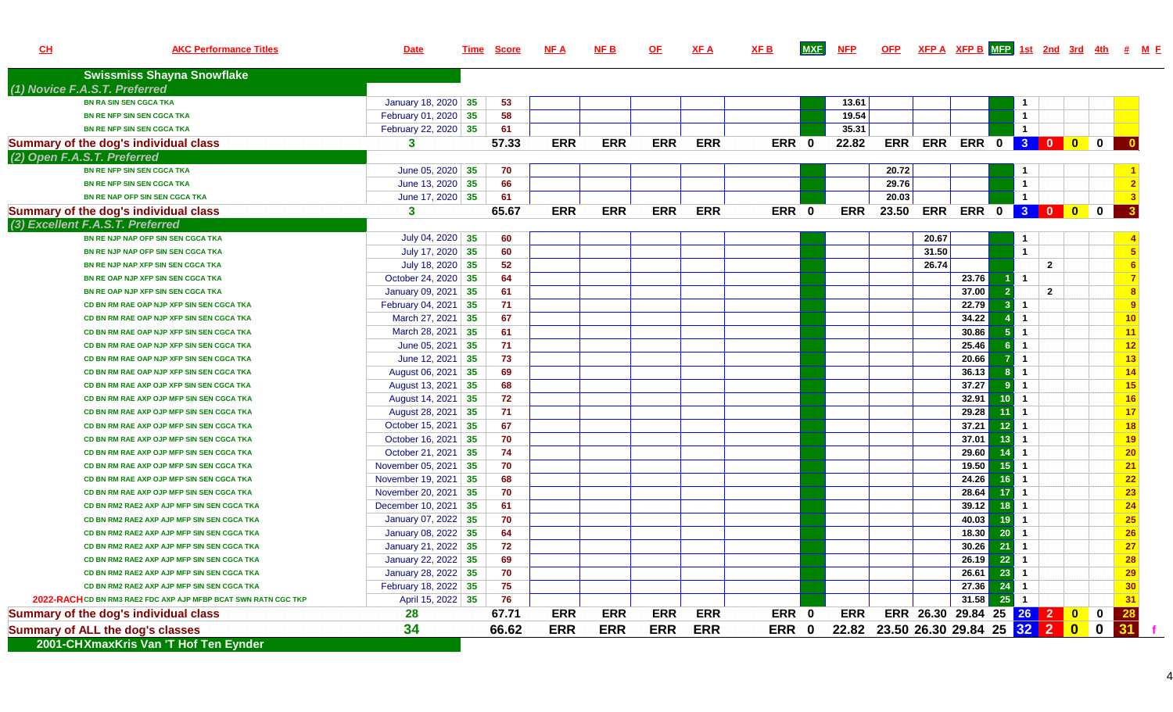| CL | <b>AKC Performance Titles</b>                                   | <b>Date</b>           | <u>Time</u> | <b>Score</b> | <b>NFA</b> | <u>NF B</u> | <u>OF</u>  | <b>XFA</b> | <b>XFB</b> | <b>MXF</b> | <b>NFP</b> | <b>OFP</b>                  |                             |         |     |                      |                |          | $XFP A$ $XFP B$ $MFP$ 1st $2nd$ 3rd $4th$ # $M F$ |
|----|-----------------------------------------------------------------|-----------------------|-------------|--------------|------------|-------------|------------|------------|------------|------------|------------|-----------------------------|-----------------------------|---------|-----|----------------------|----------------|----------|---------------------------------------------------|
|    | <b>Swissmiss Shayna Snowflake</b>                               |                       |             |              |            |             |            |            |            |            |            |                             |                             |         |     |                      |                |          |                                                   |
|    | (1) Novice F.A.S.T. Preferred                                   |                       |             |              |            |             |            |            |            |            |            |                             |                             |         |     |                      |                |          |                                                   |
|    | <b>BN RA SIN SEN CGCA TKA</b>                                   | January 18, 2020 35   |             | 53           |            |             |            |            |            |            | 13.61      |                             |                             |         |     | $\mathbf{1}$         |                |          |                                                   |
|    | BN RE NFP SIN SEN CGCA TKA                                      | February 01, 2020 35  |             | 58           |            |             |            |            |            |            | 19.54      |                             |                             |         |     | $\mathbf{1}$         |                |          |                                                   |
|    | BN RE NFP SIN SEN CGCA TKA                                      | February 22, 2020 35  |             | 61           |            |             |            |            |            |            | 35.31      |                             |                             |         |     | $\mathbf{1}$         |                |          |                                                   |
|    | Summary of the dog's individual class                           | 3                     |             | 57.33        | <b>ERR</b> | <b>ERR</b>  | <b>ERR</b> | <b>ERR</b> | ERR 0      |            | 22.82      |                             | ERR ERR ERR 0 3 0 0 0       |         |     |                      |                |          | - 0                                               |
|    | (2) Open F.A.S.T. Preferred                                     |                       |             |              |            |             |            |            |            |            |            |                             |                             |         |     |                      |                |          |                                                   |
|    | <b>BN RE NFP SIN SEN CGCA TKA</b>                               | June 05, 2020 $ 35$   |             | 70           |            |             |            |            |            |            |            | 20.72                       |                             |         |     | -1                   |                |          |                                                   |
|    | BN RE NFP SIN SEN CGCA TKA                                      | June 13, 2020 $ 35$   |             | 66           |            |             |            |            |            |            |            | 29.76                       |                             |         |     | $\mathbf{1}$         |                |          |                                                   |
|    | BN RE NAP OFP SIN SEN CGCA TKA                                  | June 17, 2020 $35$    |             | 61           |            |             |            |            |            |            |            | 20.03                       |                             |         |     | $\mathbf{1}$         |                |          |                                                   |
|    | Summary of the dog's individual class                           | 3                     |             | 65.67        | <b>ERR</b> | <b>ERR</b>  | <b>ERR</b> | <b>ERR</b> | ERR 0      |            | <b>ERR</b> |                             | 23.50 ERR ERR 0 3 0 0 0     |         |     |                      |                |          | 3                                                 |
|    | (3) Excellent F.A.S.T. Preferred                                |                       |             |              |            |             |            |            |            |            |            |                             |                             |         |     |                      |                |          |                                                   |
|    | BN RE NJP NAP OFP SIN SEN CGCA TKA                              | July 04, 2020 35      |             | 60           |            |             |            |            |            |            |            |                             | 20.67                       |         |     | -1                   |                |          |                                                   |
|    | BN RE NJP NAP OFP SIN SEN CGCA TKA                              | July 17, 2020 35      |             | 60           |            |             |            |            |            |            |            |                             | 31.50                       |         |     | $\overline{1}$       |                |          | $5\overline{5}$                                   |
|    | BN RE NJP NAP XFP SIN SEN CGCA TKA                              | July 18, 2020 35      |             | 52           |            |             |            |            |            |            |            |                             | 26.74                       |         |     |                      | $\overline{2}$ |          | -6                                                |
|    | BN RE OAP NJP XFP SIN SEN CGCA TKA                              | October 24, 2020 35   |             | 64           |            |             |            |            |            |            |            |                             |                             | 23.76   |     |                      |                |          |                                                   |
|    | BN RE OAP NJP XFP SIN SEN CGCA TKA                              | January 09, 2021 35   |             | 61           |            |             |            |            |            |            |            |                             |                             | 37.00   |     |                      | $\overline{2}$ |          | 8                                                 |
|    | CD BN RM RAE OAP NJP XFP SIN SEN CGCA TKA                       | February 04, 2021 35  |             | 71           |            |             |            |            |            |            |            |                             |                             | 22.79   | -3  |                      |                |          | $\overline{9}$                                    |
|    | CD BN RM RAE OAP NJP XFP SIN SEN CGCA TKA                       | March 27, 2021 35     |             | 67           |            |             |            |            |            |            |            |                             |                             | 34.22   |     | $\blacktriangleleft$ |                |          | 10                                                |
|    | CD BN RM RAE OAP NJP XFP SIN SEN CGCA TKA                       | March 28, 2021 35     |             | 61           |            |             |            |            |            |            |            |                             |                             | 30.86   |     |                      |                |          | 11                                                |
|    | CD BN RM RAE OAP NJP XFP SIN SEN CGCA TKA                       | June 05, 2021 $ 35 $  |             | 71           |            |             |            |            |            |            |            |                             |                             | 25.46   |     | $\blacktriangleleft$ |                |          | 12                                                |
|    | CD BN RM RAE OAP NJP XFP SIN SEN CGCA TKA                       | June 12, 2021 $ 35 $  |             | 73           |            |             |            |            |            |            |            |                             |                             | 20.66   |     | $\overline{1}$       |                |          | 13                                                |
|    | CD BN RM RAE OAP NJP XFP SIN SEN CGCA TKA                       | August 06, 2021 35    |             | 69           |            |             |            |            |            |            |            |                             |                             | 36.13   |     |                      |                |          | 14                                                |
|    | CD BN RM RAE AXP OJP XFP SIN SEN CGCA TKA                       | August 13, 2021 35    |             | 68           |            |             |            |            |            |            |            |                             |                             | 37.27   |     |                      |                |          | 15                                                |
|    | CD BN RM RAE AXP OJP MFP SIN SEN CGCA TKA                       | August 14, 2021 35    |             | 72           |            |             |            |            |            |            |            |                             |                             | 32.91   | 10  | -1                   |                |          | 16                                                |
|    | CD BN RM RAE AXP OJP MFP SIN SEN CGCA TKA                       | August 28, 2021 35    |             | 71           |            |             |            |            |            |            |            |                             |                             | 29.28   |     |                      |                |          | 17                                                |
|    | CD BN RM RAE AXP OJP MFP SIN SEN CGCA TKA                       | October 15, 2021 35   |             | 67           |            |             |            |            |            |            |            |                             |                             | 37.21   | 12  |                      |                |          | 18                                                |
|    | CD BN RM RAE AXP OJP MFP SIN SEN CGCA TKA                       | October 16, 2021   35 |             | 70           |            |             |            |            |            |            |            |                             |                             | 37.01   | 13  | -1                   |                |          | 19                                                |
|    | CD BN RM RAE AXP OJP MFP SIN SEN CGCA TKA                       | October 21, 2021   35 |             | 74           |            |             |            |            |            |            |            |                             |                             | 29.60   | -14 | $\mathbf{1}$         |                |          | 20                                                |
|    | CD BN RM RAE AXP OJP MFP SIN SEN CGCA TKA                       | November 05, 2021 35  |             | 70           |            |             |            |            |            |            |            |                             |                             | 19.50   | 15  | $\mathbf{1}$         |                |          | 21                                                |
|    | CD BN RM RAE AXP OJP MFP SIN SEN CGCA TKA                       | November 19, 2021 35  |             | 68           |            |             |            |            |            |            |            |                             |                             | 24.26   | 16  | $\mathbf{1}$         |                |          | 22                                                |
|    | CD BN RM RAE AXP OJP MFP SIN SEN CGCA TKA                       | November 20, 2021 35  |             | 70           |            |             |            |            |            |            |            |                             |                             | 28.64   | 17  | $\mathbf{1}$         |                |          | 23                                                |
|    | CD BN RM2 RAE2 AXP AJP MFP SIN SEN CGCA TKA                     | December 10, 2021 35  |             | 61           |            |             |            |            |            |            |            |                             |                             | 39.12   | 18  | $\mathbf{1}$         |                |          | 24                                                |
|    | CD BN RM2 RAE2 AXP AJP MFP SIN SEN CGCA TKA                     | January 07, 2022 35   |             | 70           |            |             |            |            |            |            |            |                             |                             | 40.03   | 19  | $\mathbf{1}$         |                |          | 25                                                |
|    | CD BN RM2 RAE2 AXP AJP MFP SIN SEN CGCA TKA                     | January 08, 2022 35   |             | 64           |            |             |            |            |            |            |            |                             |                             | 18.30   | 20  |                      |                |          | 26                                                |
|    | CD BN RM2 RAE2 AXP AJP MFP SIN SEN CGCA TKA                     | January 21, 2022 35   |             | 72           |            |             |            |            |            |            |            |                             |                             | 30.26   | 21  |                      |                |          | 27                                                |
|    | CD BN RM2 RAE2 AXP AJP MFP SIN SEN CGCA TKA                     | January 22, 2022 35   |             | 69           |            |             |            |            |            |            |            |                             |                             | 26.19   | 22  | $\overline{1}$       |                |          | 28                                                |
|    | CD BN RM2 RAE2 AXP AJP MFP SIN SEN CGCA TKA                     | January 28, 2022 35   |             | 70           |            |             |            |            |            |            |            |                             |                             | 26.61   | 23  | $\mathbf{1}$         |                |          | 29                                                |
|    | CD BN RM2 RAE2 AXP AJP MFP SIN SEN CGCA TKA                     | February 18, 2022 35  |             | 75           |            |             |            |            |            |            |            |                             |                             | 27.36   | 24  | $\overline{1}$       |                |          | 30                                                |
|    | 2022-RACH CD BN RM3 RAE2 FDC AXP AJP MFBP BCAT SWN RATN CGC TKP | April 15, 2022 35     |             | 76           |            |             |            |            |            |            |            |                             |                             | $31.58$ | 25  | $\blacksquare$       |                |          | 31                                                |
|    | Summary of the dog's individual class                           | 28                    |             | 67.71        | <b>ERR</b> | <b>ERR</b>  | <b>ERR</b> | <b>ERR</b> | ERR 0      |            | <b>ERR</b> |                             | ERR 26.30 29.84 25 26 2 0 0 |         |     |                      |                |          | 28                                                |
|    | <b>Summary of ALL the dog's classes</b>                         | 34                    |             | 66.62        | <b>ERR</b> | <b>ERR</b>  | <b>ERR</b> | <b>ERR</b> | ERR 0      |            | 22.82      | 23.50 26.30 29.84 25 32 2 0 |                             |         |     |                      |                | $\bf{0}$ | 31                                                |
|    | 2001-CHXmaxKris Van 'T Hof Ten Eynder                           |                       |             |              |            |             |            |            |            |            |            |                             |                             |         |     |                      |                |          |                                                   |